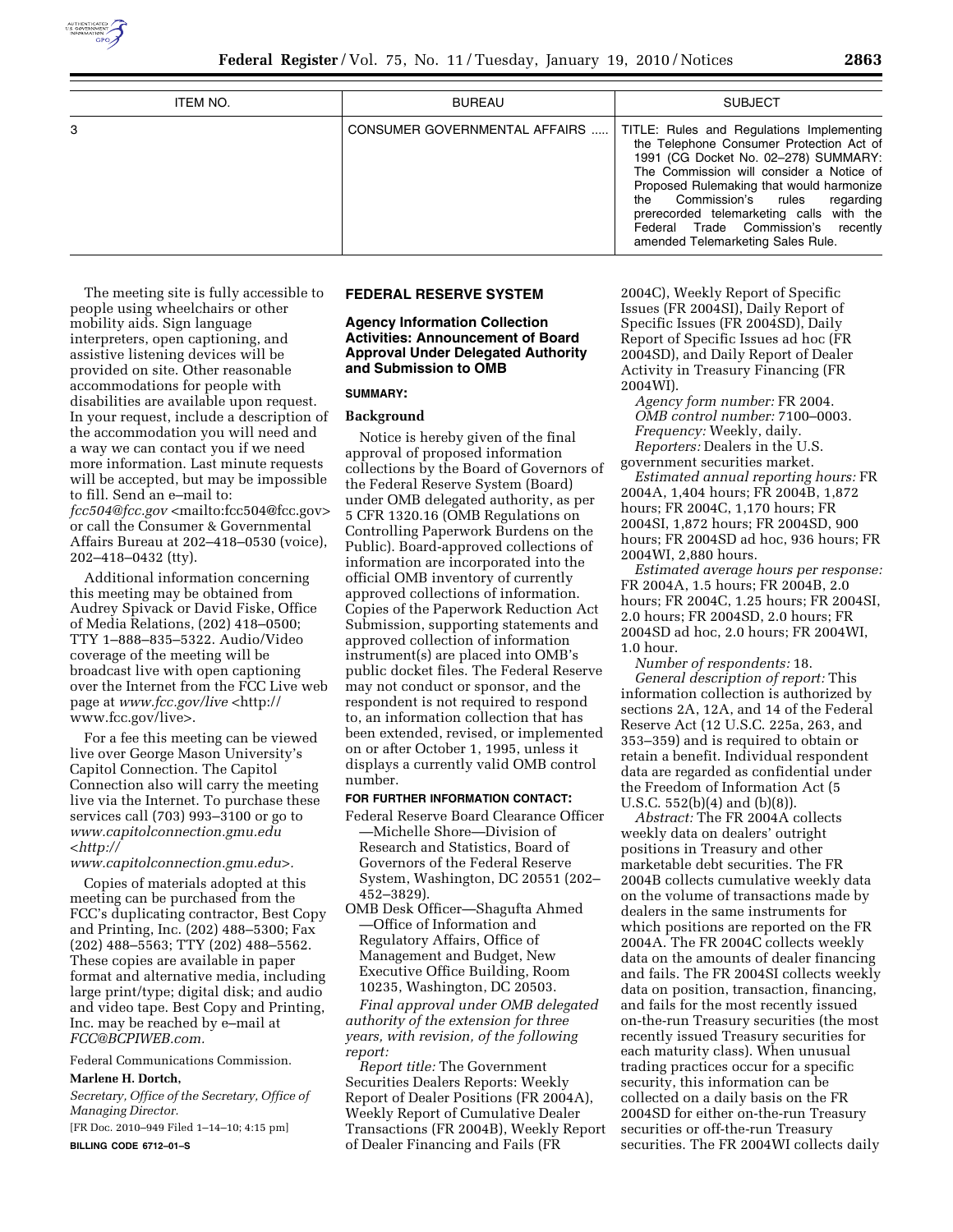

| ITEM NO. | <b>BUREAU</b>                 | <b>SUBJECT</b>                                                                                                                                                                                                                                                                                                                                                                       |
|----------|-------------------------------|--------------------------------------------------------------------------------------------------------------------------------------------------------------------------------------------------------------------------------------------------------------------------------------------------------------------------------------------------------------------------------------|
| 3        | CONSUMER GOVERNMENTAL AFFAIRS | TITLE: Rules and Regulations Implementing<br>the Telephone Consumer Protection Act of<br>1991 (CG Docket No. 02-278) SUMMARY:<br>The Commission will consider a Notice of<br>Proposed Rulemaking that would harmonize<br>the Commission's rules<br>regarding<br>prerecorded telemarketing calls with the<br>Federal Trade Commission's recently<br>amended Telemarketing Sales Rule. |

The meeting site is fully accessible to people using wheelchairs or other mobility aids. Sign language interpreters, open captioning, and assistive listening devices will be provided on site. Other reasonable accommodations for people with disabilities are available upon request. In your request, include a description of the accommodation you will need and a way we can contact you if we need more information. Last minute requests will be accepted, but may be impossible to fill. Send an e–mail to: *fcc504@fcc.gov* <mailto:fcc504@fcc.gov> or call the Consumer & Governmental Affairs Bureau at 202–418–0530 (voice), 202–418–0432 (tty).

Additional information concerning this meeting may be obtained from Audrey Spivack or David Fiske, Office of Media Relations, (202) 418–0500; TTY 1–888–835–5322. Audio/Video coverage of the meeting will be broadcast live with open captioning over the Internet from the FCC Live web page at *www.fcc.gov/live* <http:// www.fcc.gov/live>.

For a fee this meeting can be viewed live over George Mason University's Capitol Connection. The Capitol Connection also will carry the meeting live via the Internet. To purchase these services call (703) 993–3100 or go to *www.capitolconnection.gmu.edu <http://* 

*www.capitolconnection.gmu.edu>.* 

Copies of materials adopted at this meeting can be purchased from the FCC's duplicating contractor, Best Copy and Printing, Inc. (202) 488–5300; Fax (202) 488–5563; TTY (202) 488–5562. These copies are available in paper format and alternative media, including large print/type; digital disk; and audio and video tape. Best Copy and Printing, Inc. may be reached by e–mail at *FCC@BCPIWEB.com.* 

Federal Communications Commission.

# **Marlene H. Dortch,**

*Secretary, Office of the Secretary, Office of Managing Director.* 

[FR Doc. 2010–949 Filed 1–14–10; 4:15 pm] **BILLING CODE 6712–01–S** 

#### **FEDERAL RESERVE SYSTEM**

# **Agency Information Collection Activities: Announcement of Board Approval Under Delegated Authority and Submission to OMB**

# **SUMMARY:**

# **Background**

Notice is hereby given of the final approval of proposed information collections by the Board of Governors of the Federal Reserve System (Board) under OMB delegated authority, as per 5 CFR 1320.16 (OMB Regulations on Controlling Paperwork Burdens on the Public). Board-approved collections of information are incorporated into the official OMB inventory of currently approved collections of information. Copies of the Paperwork Reduction Act Submission, supporting statements and approved collection of information instrument(s) are placed into OMB's public docket files. The Federal Reserve may not conduct or sponsor, and the respondent is not required to respond to, an information collection that has been extended, revised, or implemented on or after October 1, 1995, unless it displays a currently valid OMB control number.

## **FOR FURTHER INFORMATION CONTACT:**

- Federal Reserve Board Clearance Officer —Michelle Shore—Division of Research and Statistics, Board of Governors of the Federal Reserve System, Washington, DC 20551 (202– 452–3829).
- OMB Desk Officer—Shagufta Ahmed —Office of Information and Regulatory Affairs, Office of Management and Budget, New Executive Office Building, Room 10235, Washington, DC 20503.

*Final approval under OMB delegated authority of the extension for three years, with revision, of the following report:* 

*Report title:* The Government Securities Dealers Reports: Weekly Report of Dealer Positions (FR 2004A), Weekly Report of Cumulative Dealer Transactions (FR 2004B), Weekly Report of Dealer Financing and Fails (FR

2004C), Weekly Report of Specific Issues (FR 2004SI), Daily Report of Specific Issues (FR 2004SD), Daily Report of Specific Issues ad hoc (FR 2004SD), and Daily Report of Dealer Activity in Treasury Financing (FR 2004WI).

*Agency form number:* FR 2004. *OMB control number:* 7100–0003. *Frequency:* Weekly, daily. *Reporters:* Dealers in the U.S.

government securities market. *Estimated annual reporting hours:* FR 2004A, 1,404 hours; FR 2004B, 1,872 hours; FR 2004C, 1,170 hours; FR 2004SI, 1,872 hours; FR 2004SD, 900 hours; FR 2004SD ad hoc, 936 hours; FR 2004WI, 2,880 hours.

*Estimated average hours per response:*  FR 2004A, 1.5 hours; FR 2004B, 2.0 hours; FR 2004C, 1.25 hours; FR 2004SI, 2.0 hours; FR 2004SD, 2.0 hours; FR 2004SD ad hoc, 2.0 hours; FR 2004WI, 1.0 hour.

*Number of respondents:* 18. *General description of report:* This information collection is authorized by sections 2A, 12A, and 14 of the Federal Reserve Act (12 U.S.C. 225a, 263, and 353–359) and is required to obtain or retain a benefit. Individual respondent data are regarded as confidential under the Freedom of Information Act (5 U.S.C. 552(b)(4) and (b)(8)).

*Abstract:* The FR 2004A collects weekly data on dealers' outright positions in Treasury and other marketable debt securities. The FR 2004B collects cumulative weekly data on the volume of transactions made by dealers in the same instruments for which positions are reported on the FR 2004A. The FR 2004C collects weekly data on the amounts of dealer financing and fails. The FR 2004SI collects weekly data on position, transaction, financing, and fails for the most recently issued on-the-run Treasury securities (the most recently issued Treasury securities for each maturity class). When unusual trading practices occur for a specific security, this information can be collected on a daily basis on the FR 2004SD for either on-the-run Treasury securities or off-the-run Treasury securities. The FR 2004WI collects daily